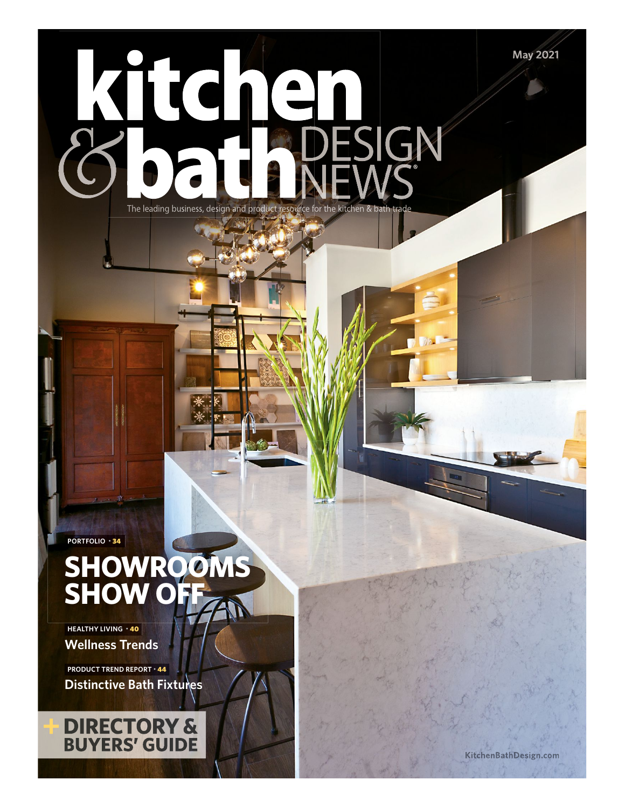Kitch ESIGN The leading business, design and product resource for the kitchen & bath

**PORTFOLIO** • 34

# **SHOWROOMS SHOW OFF**

**Wellness Trends HEALTHY LIVING** • 40

**Distinctive Bath Fixtures PRODUCT TREND REPORT** • 44



**May 2021**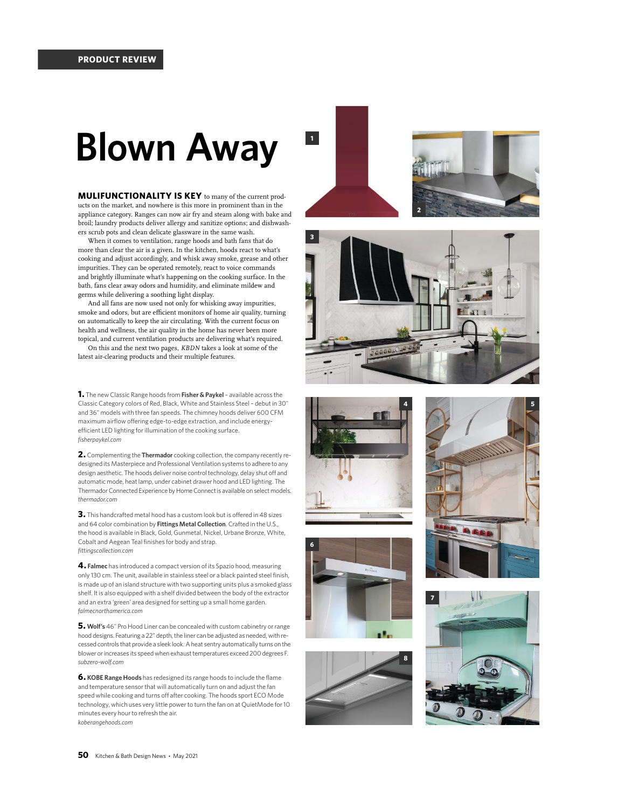# **Blown Away**

**MULIFUNCTIONALITY IS KEY** to many of the current products on the market, and nowhere is this more in prominent than in the appliance category. Ranges can now air fry and steam along with bake and broil; laundry products deliver allergy and sanitize options; and dishwashers scrub pots and clean delicate glassware in the same wash.

When it comes to ventilation, range hoods and bath fans that do more than clear the air is a given. In the kitchen, hoods react to what's cooking and adjust accordingly, and whisk away smoke, grease and other impurities. They can be operated remotely, react to voice commands and brightly illuminate what's happening on the cooking surface. In the bath, fans clear away odors and humidity, and eliminate mildew and germs while delivering a soothing light display.

And all fans are now used not only for whisking away impurities, smoke and odors, but are efficient monitors of home air quality, turning on automatically to keep the air circulating. With the current focus on health and wellness, the air quality in the home has never been more topical, and current ventilation products are delivering what's required.

On this and the next two pages, *KBDN* takes a look at some of the latest air-clearing products and their multiple features.

**1.** The new Classic Range hoods from **Fisher & Paykel** – available across the Classic Category colors of Red, Black, White and Stainless Steel – debut in 30" and 36" models with three fan speeds. The chimney hoods deliver 600 CFM maximum airflow o fering edge-to-edge extraction, and include energyefficient LED lighting for illumination of the cooking surface. *fisherpaykel.com*

**2.** Complementing the **Thermador** cooking collection, the company recently redesigned its Masterpiece and Professional Ventilation systems to adhere to any design aesthetic. The hoods deliver noise control technology, delay shut off and automatic mode, heat lamp, under cabinet drawer hood and LED lighting. The Thermador Connected Experience by Home Connect is available on select models. *thermador.com*

**3.** This handcrafted metal hood has a custom look but is o fered in 48 sizes and 64 color combination by **Fittings Metal Collection**. Crafted in the U.S., the hood is available in Black, Gold, Gunmetal, Nickel, Urbane Bronze, White, Cobalt and Aegean Teal finishes for body and strap. *fittingscollection.com*

**4. Falmec** has introduced a compact version of its Spazio hood, measuring only 130 cm. The unit, available in stainless steel or a black painted steel finish, is made up of an island structure with two supporting units plus a smoked glass shelf. It is also equipped with a shelf divided between the body of the extractor and an extra 'green' area designed for setting up a small home garden. *falmecnorthamerica.com*

**5. Wolf's** 46" Pro Hood Liner can be concealed with custom cabinetry or range hood designs. Featuring a 22" depth, the liner can be adjusted as needed, with recessed controls that provide a sleek look. A heat sentry automatically turns on the blower or increases its speed when exhaust temperatures exceed 200 degrees F. *subzero-wolf.com*

**6. KOBE Range Hoods** has redesigned its range hoods to include the flame and temperature sensor that will automatically turn on and adjust the fan speed while cooking and turns o f after cooking. The hoods sport ECO Mode technology, which uses very little power to turn the fan on at QuietMode for 10 minutes every hour to refresh the air. *koberangehoods.com*











**5**





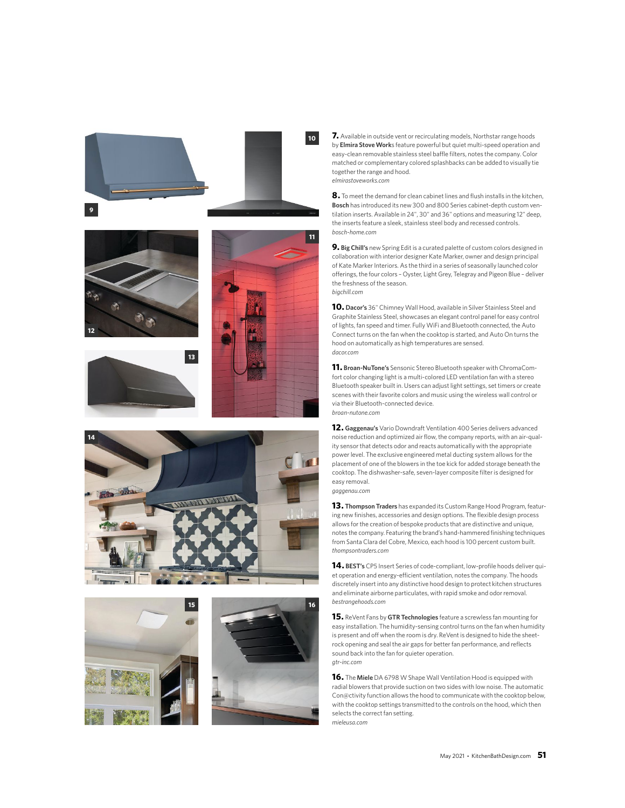











**7.** Available in outside vent or recirculating models, Northstar range hoods by **Elmira Stove Work**s feature powerful but quiet multi-speed operation and easy-clean removable stainless steel baffle filters, notes the company. Color matched or complementary colored splashbacks can be added to visually tie together the range and hood. *elmirastoveworks.com*

**8.** To meet the demand for clean cabinet lines and flush installs in the kitchen, **Bosch** has introduced its new 300 and 800 Series cabinet-depth custom ventilation inserts. Available in 24", 30" and 36" options and measuring 12" deep, the inserts feature a sleek, stainless steel body and recessed controls. *bosch-home.com*

**9. Big Chill's** new Spring Edit is a curated palette of custom colors designed in collaboration with interior designer Kate Marker, owner and design principal of Kate Marker Interiors. As the third in a series of seasonally launched color oferings, the four colors – Oyster, Light Grey, Telegray and Pigeon Blue – deliver the freshness of the season. *bigchill.com*

**10. Dacor's** 36" Chimney Wall Hood, available in Silver Stainless Steel and Graphite Stainless Steel, showcases an elegant control panel for easy control of lights, fan speed and timer. Fully WiFi and Bluetooth connected, the Auto Connect turns on the fan when the cooktop is started, and Auto On turns the hood on automatically as high temperatures are sensed. *dacor.com*

**11. Broan-NuTone's** Sensonic Stereo Bluetooth speaker with ChromaComfort color changing light is a multi-colored LED ventilation fan with a stereo Bluetooth speaker built in. Users can adjust light settings, set timers or create scenes with their favorite colors and music using the wireless wall control or via their Bluetooth-connected device. *broan-nutone.com*

**12. Gaggenau's** Vario Downdraft Ventilation 400 Series delivers advanced noise reduction and optimized air flow, the company reports, with an air-quality sensor that detects odor and reacts automatically with the appropriate power level. The exclusive engineered metal ducting system allows for the placement of one of the blowers in the toe kick for added storage beneath the cooktop. The dishwasher-safe, seven-layer composite filter is designed for easy removal. *gaggenau.com*

**13. Thompson Traders** has expanded its Custom Range Hood Program, featuring new finishes, accessories and design options. The flexible design process allows for the creation of bespoke products that are distinctive and unique, notes the company. Featuring the brand's hand-hammered finishing techniques from Santa Clara del Cobre, Mexico, each hood is 100 percent custom built. *thompsontraders.com*

**14. BEST's** CP5 Insert Series of code-compliant, low-profile hoods deliver quiet operation and energy-efficient ventilation, notes the company. The hoods discretely insert into any distinctive hood design to protect kitchen structures and eliminate airborne particulates, with rapid smoke and odor removal. *bestrangehoods.com*

**15.** ReVent Fans by **GTR Technologies** feature a screwless fan mounting for easy installation. The humidity-sensing control turns on the fan when humidity is present and off when the room is dry. ReVent is designed to hide the sheetrock opening and seal the air gaps for better fan performance, and reflects sound back into the fan for quieter operation. *gtr-inc.com*

**16.** The **Miele** DA 6798 W Shape Wall Ventilation Hood is equipped with radial blowers that provide suction on two sides with low noise. The automatic Con@ctivity function allows the hood to communicate with the cooktop below, with the cooktop settings transmitted to the controls on the hood, which then selects the correct fan setting. *mieleusa.com*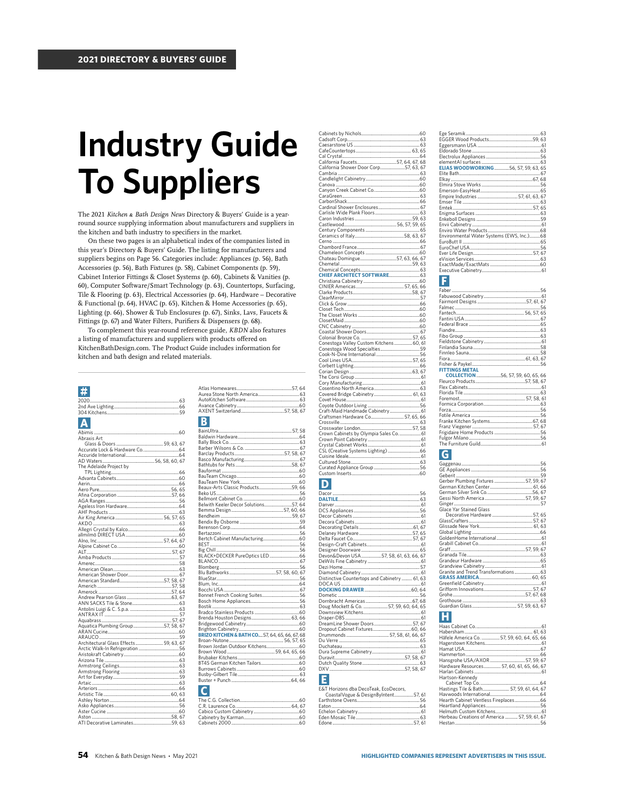# **Industry Guide To Suppliers**

The 2021 Kitchen & Bath Design News Directory & Buyers' Guide is a yearround source supplying information about manufacturers and suppliers in the kitchen and bath industry to specifiers in the market.

On these two pages is an alphabetical index of the companies listed in this year's Directory & Buyers' Guide. The listing for manufacturers and suppliers begins on Page 56. Categories include: Appliances (p. 56), Bath Accessories (p. 56), Bath Fixtures (p. 58), Cabinet Components (p. 59), Cabinet Interior Fittings & Closet Systems (p. 60), Cabinets & Vanities (p. 60), Computer Software/Smart Technology (p. 63), Countertops, Surfacing, Tile & Flooring (p. 63), Electrical Accessories (p. 64), Hardware - Decorative & Functional (p. 64), HVAC (p. 65), Kitchen & Home Accessories (p. 65), Lighting (p. 66), Shower & Tub Enclosures (p. 67), Sinks, Lavs, Faucets & Fittings (p. 67) and Water Filters, Purifiers & Dispensers (p. 68).

To complement this year-round reference guide, KBDN also features a listing of manufacturers and suppliers with products offered on KitchenBathDesign.com. The Product Guide includes information for kitchen and bath design and related materials.

| Abraxis Art                            |       |  |
|----------------------------------------|-------|--|
|                                        |       |  |
|                                        |       |  |
|                                        |       |  |
|                                        |       |  |
| The Adelaide Proiect by                |       |  |
|                                        |       |  |
|                                        |       |  |
|                                        |       |  |
|                                        |       |  |
|                                        |       |  |
|                                        |       |  |
|                                        |       |  |
|                                        |       |  |
|                                        |       |  |
|                                        |       |  |
|                                        |       |  |
|                                        |       |  |
|                                        |       |  |
|                                        |       |  |
|                                        |       |  |
|                                        |       |  |
|                                        |       |  |
|                                        |       |  |
|                                        |       |  |
|                                        |       |  |
|                                        |       |  |
|                                        |       |  |
|                                        |       |  |
|                                        |       |  |
|                                        |       |  |
|                                        |       |  |
|                                        |       |  |
| Aquatica Plumbing Group57, 58, 67      |       |  |
|                                        |       |  |
|                                        |       |  |
| Architectural Glass Effects 59, 63, 67 |       |  |
|                                        |       |  |
|                                        |       |  |
|                                        |       |  |
|                                        |       |  |
|                                        |       |  |
|                                        |       |  |
|                                        |       |  |
|                                        |       |  |
|                                        |       |  |
|                                        |       |  |
|                                        |       |  |
|                                        |       |  |
| ATI Decorative Laminates               | 59 63 |  |

| <b>Industrial</b> |  |
|-------------------|--|

| D                       |                                                           |  |
|-------------------------|-----------------------------------------------------------|--|
|                         |                                                           |  |
|                         |                                                           |  |
|                         |                                                           |  |
|                         |                                                           |  |
|                         |                                                           |  |
|                         |                                                           |  |
|                         |                                                           |  |
|                         |                                                           |  |
|                         |                                                           |  |
|                         |                                                           |  |
|                         | Beaux-Arts Classic Products59, 6                          |  |
|                         |                                                           |  |
|                         |                                                           |  |
|                         | Belwith Keeler Decor Solutions57.6                        |  |
|                         |                                                           |  |
|                         |                                                           |  |
|                         |                                                           |  |
|                         |                                                           |  |
|                         |                                                           |  |
|                         |                                                           |  |
|                         |                                                           |  |
|                         |                                                           |  |
|                         |                                                           |  |
|                         |                                                           |  |
|                         |                                                           |  |
|                         |                                                           |  |
|                         |                                                           |  |
|                         |                                                           |  |
|                         |                                                           |  |
|                         |                                                           |  |
|                         |                                                           |  |
|                         |                                                           |  |
|                         |                                                           |  |
|                         |                                                           |  |
|                         |                                                           |  |
|                         | <b>BRIZO KITCHEN &amp; BATH CO.</b> 57, 64, 65, 66, 67, 6 |  |
|                         |                                                           |  |
|                         |                                                           |  |
|                         |                                                           |  |
|                         |                                                           |  |
|                         |                                                           |  |
|                         |                                                           |  |
|                         |                                                           |  |
|                         |                                                           |  |
|                         |                                                           |  |
| $\overline{\mathsf{C}}$ |                                                           |  |
|                         |                                                           |  |
|                         |                                                           |  |
|                         |                                                           |  |
|                         |                                                           |  |
|                         | C <sub>chinate</sub> 2000                                 |  |

| Devon&Devon USA57, 58, 61, 63, 66, 67         |
|-----------------------------------------------|
|                                               |
|                                               |
|                                               |
| Distinctive Countertops and Cabinetry  61, 63 |
|                                               |
|                                               |
|                                               |
|                                               |
| Doug Mockett & Co. 57, 59, 60, 64, 65         |
|                                               |
|                                               |
|                                               |
|                                               |
|                                               |
|                                               |
|                                               |
|                                               |
|                                               |
|                                               |
|                                               |
|                                               |

### E

| E&T Horizons dba DecoTeak, EcoDecors, |  |
|---------------------------------------|--|
| CoastalVogue & DesignByIntent57, 6    |  |
|                                       |  |
|                                       |  |
|                                       |  |
|                                       |  |
| Edone 57.6                            |  |

| <b>ELIAS WOODWORKING56, 57, 59, 63, 65</b> |  |
|--------------------------------------------|--|
|                                            |  |
|                                            |  |
|                                            |  |
|                                            |  |
|                                            |  |
|                                            |  |
|                                            |  |
|                                            |  |
|                                            |  |
|                                            |  |
|                                            |  |
| Environmental Water Systems (EWS, Inc.)68  |  |
|                                            |  |
|                                            |  |
|                                            |  |
|                                            |  |
|                                            |  |
|                                            |  |

# E

| <b>FITTINGS METAL</b>             |  |
|-----------------------------------|--|
| COLLECTION 56, 57, 59, 60, 65, 66 |  |
|                                   |  |
|                                   |  |
|                                   |  |
|                                   |  |
|                                   |  |
|                                   |  |
|                                   |  |
|                                   |  |
|                                   |  |
|                                   |  |
|                                   |  |
|                                   |  |
|                                   |  |

## $|G|$

| Gerber Plumbing Fixtures 57, 59, 6 |   |  |
|------------------------------------|---|--|
|                                    |   |  |
|                                    |   |  |
|                                    |   |  |
|                                    |   |  |
| Glace Yar Stained Glass            |   |  |
|                                    |   |  |
|                                    |   |  |
|                                    |   |  |
|                                    |   |  |
|                                    |   |  |
|                                    |   |  |
|                                    |   |  |
|                                    |   |  |
|                                    |   |  |
|                                    |   |  |
|                                    |   |  |
|                                    |   |  |
|                                    |   |  |
|                                    |   |  |
|                                    |   |  |
|                                    |   |  |
|                                    |   |  |
|                                    |   |  |
|                                    |   |  |
|                                    |   |  |
|                                    | . |  |

#### Habershahl  $-67$ 66 Hansgrohe USA/AXOR...<br>Hardware Resources........<br>Harlan Cabinets.................. .57, 59, 67 6 Hartson-Kennedy Cabinet Ton Co  $61$ ..66<br>56...<br>61... Herbeau Creations of America ............ 57, 59, 61, 67 Hestan.